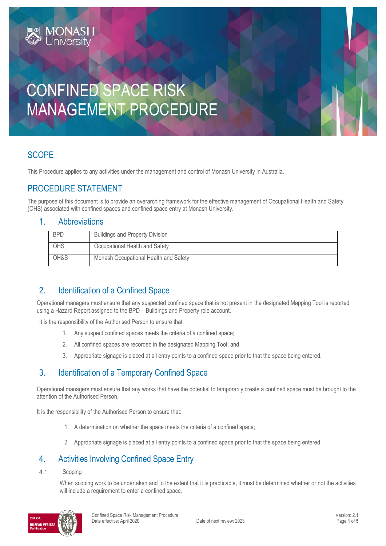# CONFINED SPACE RISK MANAGEMENT PROCEDURE

# **SCOPE**

This Procedure applies to any activities under the management and control of Monash University in Australia.

# PROCEDURE STATEMENT

**IONAS** 

The purpose of this document is to provide an overarching framework for the effective management of Occupational Health and Safety (OHS) associated with confined spaces and confined space entry at Monash University.

#### 1. Abbreviations

| <b>BPD</b> | <b>Buildings and Property Division</b> |
|------------|----------------------------------------|
| OHS        | Occupational Health and Safety         |
| OH&S       | Monash Occupational Health and Safety  |

# 2. Identification of a Confined Space

Operational managers must ensure that any suspected confined space that is not present in the designated Mapping Tool is reported using a Hazard Report assigned to the BPD – Buildings and Property role account.

It is the responsibility of the Authorised Person to ensure that:

- 1. Any suspect confined spaces meets the criteria of a confined space;
- 2. All confined spaces are recorded in the designated Mapping Tool; and
- 3. Appropriate signage is placed at all entry points to a confined space prior to that the space being entered.

# 3. Identification of a Temporary Confined Space

Operational managers must ensure that any works that have the potential to temporarily create a confined space must be brought to the attention of the Authorised Person.

It is the responsibility of the Authorised Person to ensure that:

- 1. A determination on whether the space meets the criteria of a confined space;
- 2. Appropriate signage is placed at all entry points to a confined space prior to that the space being entered.

### 4. Activities Involving Confined Space Entry

 $4.1$ Scoping

> When scoping work to be undertaken and to the extent that it is practicable, it must be determined whether or not the activities will include a requirement to enter a confined space.

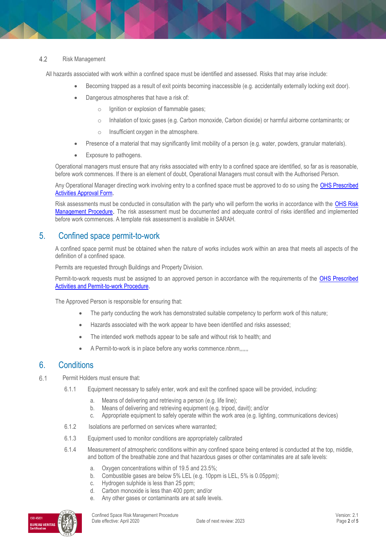#### $4.2$ Risk Management

All hazards associated with work within a confined space must be identified and assessed. Risks that may arise include:

- Becoming trapped as a result of exit points becoming inaccessible (e.g. accidentally externally locking exit door).
- Dangerous atmospheres that have a risk of:
	- o Ignition or explosion of flammable gases;
	- o Inhalation of toxic gases (e.g. Carbon monoxide, Carbon dioxide) or harmful airborne contaminants; or
	- o Insufficient oxygen in the atmosphere.
- Presence of a material that may significantly limit mobility of a person (e.g. water, powders, granular materials).
- Exposure to pathogens.

Operational managers must ensure that any risks associated with entry to a confined space are identified, so far as is reasonable, before work commences. If there is an element of doubt, Operational Managers must consult with the Authorised Person.

Any Operational Manager directing work involving entry to a confined space must be approved to do so using the OHS Prescribed [Activities Approval Form.](https://forms.apps.monash.edu/frevvo/web/tn/monash.edu/u/3916c41d-b945-486a-aa56-3a1b2d38f492/app/_U8fbkKaIEeiCS-jJ9nTCoA/flowtype/_GN14YMaeEeipXY-P0bohrQ?_method=post&embed=true)

Risk assessments must be conducted in consultation with the party who will perform the works in accordance with the OHS Risk [Management Procedure](https://publicpolicydms.monash.edu/Monash/documents/1935636). The risk assessment must be documented and adequate control of risks identified and implemented before work commences. A template risk assessment is available in SARAH.

#### 5. Confined space permit-to-work

A confined space permit must be obtained when the nature of works includes work within an area that meets all aspects of the definition of a confined space.

Permits are requested through Buildings and Property Division.

Permit-to-work requests must be assigned to an approved person in accordance with the requirements of the [OHS Prescribed](https://publicpolicydms.monash.edu/Monash/documents/1935634)  [Activities and Permit-to-work Procedure.](https://publicpolicydms.monash.edu/Monash/documents/1935634)

The Approved Person is responsible for ensuring that:

- The party conducting the work has demonstrated suitable competency to perform work of this nature;
- Hazards associated with the work appear to have been identified and risks assessed;
- The intended work methods appear to be safe and without risk to health; and
- A Permit-to-work is in place before any works commence.nbnm,,,,,,

#### 6. Conditions

- $6.1$ Permit Holders must ensure that:
	- 6.1.1 Equipment necessary to safely enter, work and exit the confined space will be provided, including:
		- a. Means of delivering and retrieving a person (e.g. life line);
		- b. Means of delivering and retrieving equipment (e.g. tripod, davit); and/or
		- c. Appropriate equipment to safely operate within the work area (e.g. lighting, communications devices)
	- 6.1.2 Isolations are performed on services where warranted;
	- 6.1.3 Equipment used to monitor conditions are appropriately calibrated
	- 6.1.4 Measurement of atmospheric conditions within any confined space being entered is conducted at the top, middle, and bottom of the breathable zone and that hazardous gases or other contaminates are at safe levels:
		- a. Oxygen concentrations within of 19.5 and 23.5%;
		- b. Combustible gases are below 5% LEL (e.g. 10ppm is LEL, 5% is 0.05ppm);
		- c. Hydrogen sulphide is less than 25 ppm;
		- d. Carbon monoxide is less than 400 ppm; and/or
		- e. Any other gases or contaminants are at safe levels.

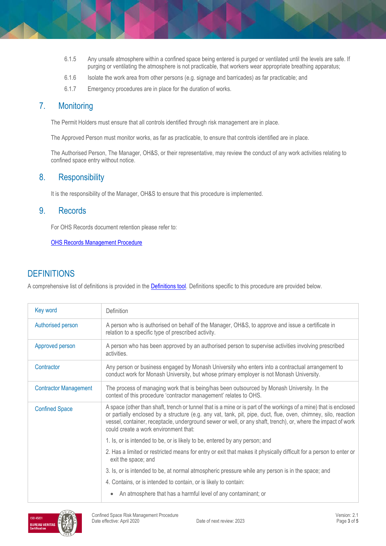- 6.1.5 Any unsafe atmosphere within a confined space being entered is purged or ventilated until the levels are safe. If purging or ventilating the atmosphere is not practicable, that workers wear appropriate breathing apparatus;
- 6.1.6 Isolate the work area from other persons (e.g. signage and barricades) as far practicable; and
- 6.1.7 Emergency procedures are in place for the duration of works.

#### 7. Monitoring

The Permit Holders must ensure that all controls identified through risk management are in place.

The Approved Person must monitor works, as far as practicable, to ensure that controls identified are in place.

The Authorised Person, The Manager, OH&S, or their representative, may review the conduct of any work activities relating to confined space entry without notice.

#### 8. Responsibility

It is the responsibility of the Manager, OH&S to ensure that this procedure is implemented.

#### 9. Records

For OHS Records document retention please refer to:

[OHS Records Management Procedure](https://publicpolicydms.monash.edu/Monash/documents/1935642)

## **DEFINITIONS**

A comprehensive list of definitions is provided in the **Definitions tool**. Definitions specific to this procedure are provided below.

| Key word                     | Definition                                                                                                                                                                                                                                                                                                                                                                                    |  |
|------------------------------|-----------------------------------------------------------------------------------------------------------------------------------------------------------------------------------------------------------------------------------------------------------------------------------------------------------------------------------------------------------------------------------------------|--|
| Authorised person            | A person who is authorised on behalf of the Manager, OH&S, to approve and issue a certificate in<br>relation to a specific type of prescribed activity.                                                                                                                                                                                                                                       |  |
| Approved person              | A person who has been approved by an authorised person to supervise activities involving prescribed<br>activities.                                                                                                                                                                                                                                                                            |  |
| Contractor                   | Any person or business engaged by Monash University who enters into a contractual arrangement to<br>conduct work for Monash University, but whose primary employer is not Monash University.                                                                                                                                                                                                  |  |
| <b>Contractor Management</b> | The process of managing work that is being/has been outsourced by Monash University. In the<br>context of this procedure 'contractor management' relates to OHS.                                                                                                                                                                                                                              |  |
| <b>Confined Space</b>        | A space (other than shaft, trench or tunnel that is a mine or is part of the workings of a mine) that is enclosed<br>or partially enclosed by a structure (e.g. any vat, tank, pit, pipe, duct, flue, oven, chimney, silo, reaction<br>vessel, container, receptacle, underground sewer or well, or any shaft, trench), or, where the impact of work<br>could create a work environment that: |  |
|                              | 1. Is, or is intended to be, or is likely to be, entered by any person; and                                                                                                                                                                                                                                                                                                                   |  |
|                              | 2. Has a limited or restricted means for entry or exit that makes it physically difficult for a person to enter or<br>exit the space; and                                                                                                                                                                                                                                                     |  |
|                              | 3. Is, or is intended to be, at normal atmospheric pressure while any person is in the space; and                                                                                                                                                                                                                                                                                             |  |
|                              | 4. Contains, or is intended to contain, or is likely to contain:                                                                                                                                                                                                                                                                                                                              |  |
|                              | An atmosphere that has a harmful level of any contaminant; or                                                                                                                                                                                                                                                                                                                                 |  |

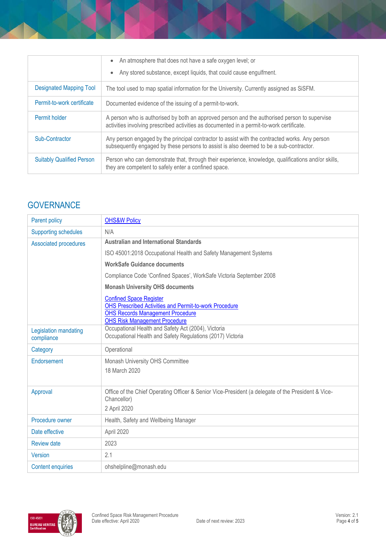|                                  | An atmosphere that does not have a safe oxygen level; or<br>$\bullet$<br>Any stored substance, except liquids, that could cause engulfment.                                               |  |
|----------------------------------|-------------------------------------------------------------------------------------------------------------------------------------------------------------------------------------------|--|
| Designated Mapping Tool          | The tool used to map spatial information for the University. Currently assigned as SiSFM.                                                                                                 |  |
| Permit-to-work certificate       | Documented evidence of the issuing of a permit-to-work.                                                                                                                                   |  |
| Permit holder                    | A person who is authorised by both an approved person and the authorised person to supervise<br>activities involving prescribed activities as documented in a permit-to-work certificate. |  |
| Sub-Contractor                   | Any person engaged by the principal contractor to assist with the contracted works. Any person<br>subsequently engaged by these persons to assist is also deemed to be a sub-contractor.  |  |
| <b>Suitably Qualified Person</b> | Person who can demonstrate that, through their experience, knowledge, qualifications and/or skills,<br>they are competent to safely enter a confined space.                               |  |

# **GOVERNANCE**

| Parent policy                       | <b>OHS&amp;W Policy</b>                                                                                                                                                            |  |  |
|-------------------------------------|------------------------------------------------------------------------------------------------------------------------------------------------------------------------------------|--|--|
| <b>Supporting schedules</b>         | N/A                                                                                                                                                                                |  |  |
| <b>Associated procedures</b>        | <b>Australian and International Standards</b>                                                                                                                                      |  |  |
|                                     | ISO 45001:2018 Occupational Health and Safety Management Systems                                                                                                                   |  |  |
|                                     | <b>WorkSafe Guidance documents</b>                                                                                                                                                 |  |  |
|                                     | Compliance Code 'Confined Spaces', WorkSafe Victoria September 2008                                                                                                                |  |  |
|                                     | <b>Monash University OHS documents</b>                                                                                                                                             |  |  |
|                                     | <b>Confined Space Register</b><br><b>OHS Prescribed Activities and Permit-to-work Procedure</b><br><b>OHS Records Management Procedure</b><br><b>OHS Risk Management Procedure</b> |  |  |
| Legislation mandating<br>compliance | Occupational Health and Safety Act (2004), Victoria<br>Occupational Health and Safety Regulations (2017) Victoria                                                                  |  |  |
| Category                            | Operational                                                                                                                                                                        |  |  |
| Endorsement                         | Monash University OHS Committee<br>18 March 2020                                                                                                                                   |  |  |
| Approval                            | Office of the Chief Operating Officer & Senior Vice-President (a delegate of the President & Vice-<br>Chancellor)<br>2 April 2020                                                  |  |  |
| Procedure owner                     | Health, Safety and Wellbeing Manager                                                                                                                                               |  |  |
| Date effective                      | April 2020                                                                                                                                                                         |  |  |
| <b>Review date</b>                  | 2023                                                                                                                                                                               |  |  |
| Version                             | 2.1                                                                                                                                                                                |  |  |
| <b>Content enquiries</b>            | ohshelpline@monash.edu                                                                                                                                                             |  |  |